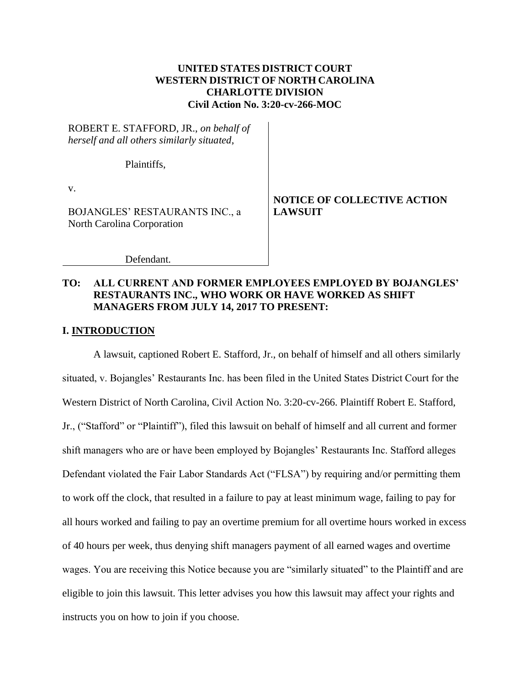## **UNITED STATES DISTRICT COURT WESTERN DISTRICT OF NORTH CAROLINA CHARLOTTE DIVISION Civil Action No. 3:20-cv-266-MOC**

ROBERT E. STAFFORD, JR., *on behalf of herself and all others similarly situated*,

Plaintiffs,

v.

BOJANGLES' RESTAURANTS INC., a North Carolina Corporation

**NOTICE OF COLLECTIVE ACTION LAWSUIT**

Defendant.

## **TO: ALL CURRENT AND FORMER EMPLOYEES EMPLOYED BY BOJANGLES' RESTAURANTS INC., WHO WORK OR HAVE WORKED AS SHIFT MANAGERS FROM JULY 14, 2017 TO PRESENT:**

### **I. INTRODUCTION**

A lawsuit, captioned Robert E. Stafford, Jr., on behalf of himself and all others similarly situated, v. Bojangles' Restaurants Inc. has been filed in the United States District Court for the Western District of North Carolina, Civil Action No. 3:20-cv-266. Plaintiff Robert E. Stafford, Jr., ("Stafford" or "Plaintiff"), filed this lawsuit on behalf of himself and all current and former shift managers who are or have been employed by Bojangles' Restaurants Inc. Stafford alleges Defendant violated the Fair Labor Standards Act ("FLSA") by requiring and/or permitting them to work off the clock, that resulted in a failure to pay at least minimum wage, failing to pay for all hours worked and failing to pay an overtime premium for all overtime hours worked in excess of 40 hours per week, thus denying shift managers payment of all earned wages and overtime wages. You are receiving this Notice because you are "similarly situated" to the Plaintiff and are eligible to join this lawsuit. This letter advises you how this lawsuit may affect your rights and instructs you on how to join if you choose.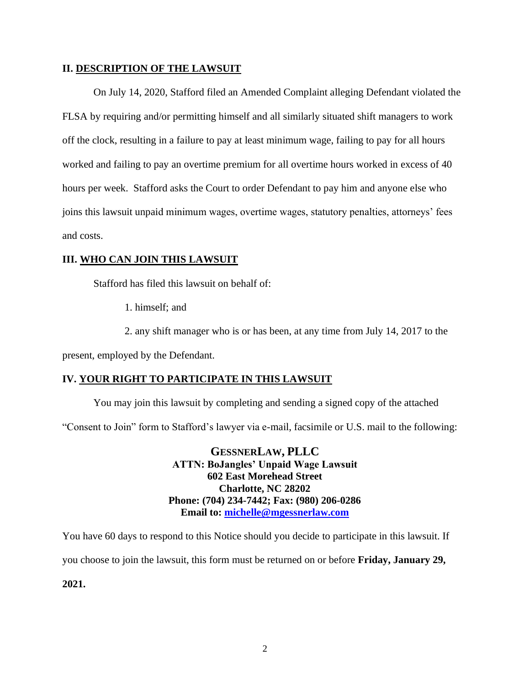### **II. DESCRIPTION OF THE LAWSUIT**

On July 14, 2020, Stafford filed an Amended Complaint alleging Defendant violated the FLSA by requiring and/or permitting himself and all similarly situated shift managers to work off the clock, resulting in a failure to pay at least minimum wage, failing to pay for all hours worked and failing to pay an overtime premium for all overtime hours worked in excess of 40 hours per week. Stafford asks the Court to order Defendant to pay him and anyone else who joins this lawsuit unpaid minimum wages, overtime wages, statutory penalties, attorneys' fees and costs.

## **III. WHO CAN JOIN THIS LAWSUIT**

Stafford has filed this lawsuit on behalf of:

1. himself; and

2. any shift manager who is or has been, at any time from July 14, 2017 to the

present, employed by the Defendant.

## **IV. YOUR RIGHT TO PARTICIPATE IN THIS LAWSUIT**

You may join this lawsuit by completing and sending a signed copy of the attached

"Consent to Join" form to Stafford's lawyer via e-mail, facsimile or U.S. mail to the following:

**GESSNERLAW, PLLC ATTN: BoJangles' Unpaid Wage Lawsuit 602 East Morehead Street Charlotte, NC 28202 Phone: (704) 234-7442; Fax: (980) 206-0286 Email to: [michelle@mgessnerlaw.com](mailto:michelle@mgessnerlaw.com)**

You have 60 days to respond to this Notice should you decide to participate in this lawsuit. If

you choose to join the lawsuit, this form must be returned on or before **Friday, January 29,** 

**2021.**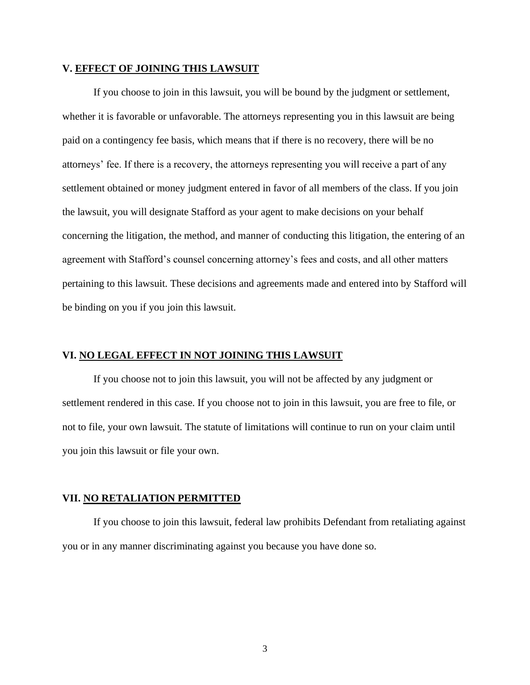#### **V. EFFECT OF JOINING THIS LAWSUIT**

If you choose to join in this lawsuit, you will be bound by the judgment or settlement, whether it is favorable or unfavorable. The attorneys representing you in this lawsuit are being paid on a contingency fee basis, which means that if there is no recovery, there will be no attorneys' fee. If there is a recovery, the attorneys representing you will receive a part of any settlement obtained or money judgment entered in favor of all members of the class. If you join the lawsuit, you will designate Stafford as your agent to make decisions on your behalf concerning the litigation, the method, and manner of conducting this litigation, the entering of an agreement with Stafford's counsel concerning attorney's fees and costs, and all other matters pertaining to this lawsuit. These decisions and agreements made and entered into by Stafford will be binding on you if you join this lawsuit.

#### **VI. NO LEGAL EFFECT IN NOT JOINING THIS LAWSUIT**

If you choose not to join this lawsuit, you will not be affected by any judgment or settlement rendered in this case. If you choose not to join in this lawsuit, you are free to file, or not to file, your own lawsuit. The statute of limitations will continue to run on your claim until you join this lawsuit or file your own.

### **VII. NO RETALIATION PERMITTED**

If you choose to join this lawsuit, federal law prohibits Defendant from retaliating against you or in any manner discriminating against you because you have done so.